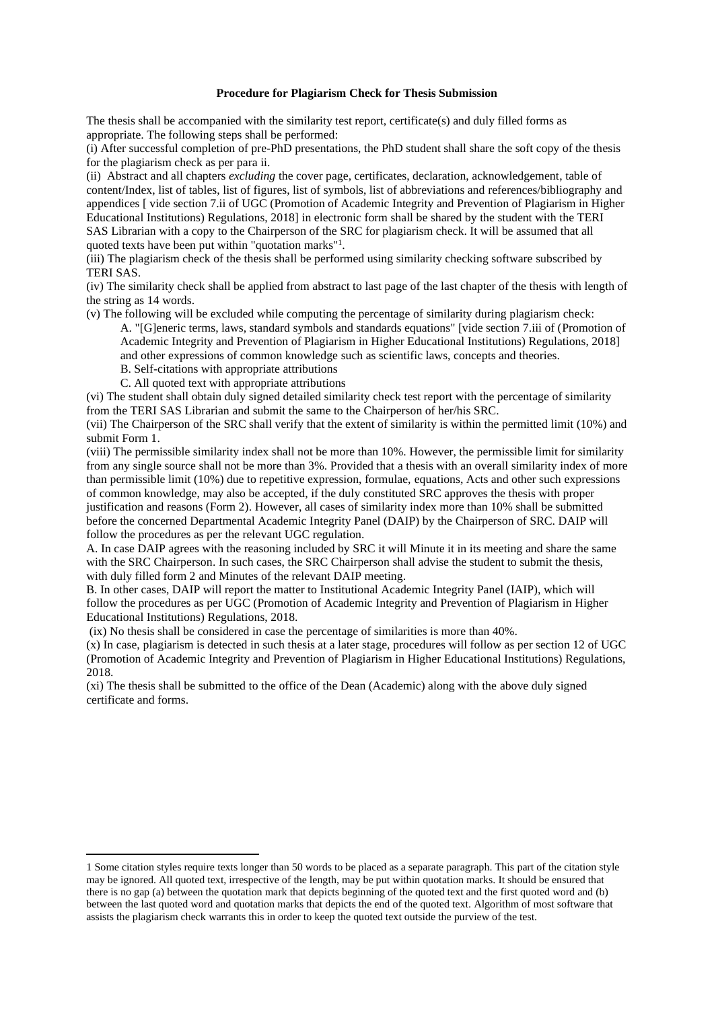# **Procedure for Plagiarism Check for Thesis Submission**

The thesis shall be accompanied with the similarity test report, certificate(s) and duly filled forms as appropriate. The following steps shall be performed:

(i) After successful completion of pre-PhD presentations, the PhD student shall share the soft copy of the thesis for the plagiarism check as per para ii.

(ii) Abstract and all chapters *excluding* the cover page, certificates, declaration, acknowledgement, table of content/Index, list of tables, list of figures, list of symbols, list of abbreviations and references/bibliography and appendices [ vide section 7.ii of UGC (Promotion of Academic Integrity and Prevention of Plagiarism in Higher Educational Institutions) Regulations, 2018] in electronic form shall be shared by the student with the TERI SAS Librarian with a copy to the Chairperson of the SRC for plagiarism check. It will be assumed that all quoted texts have been put within "quotation marks"<sup>1</sup>.

(iii) The plagiarism check of the thesis shall be performed using similarity checking software subscribed by TERI SAS.

(iv) The similarity check shall be applied from abstract to last page of the last chapter of the thesis with length of the string as 14 words.

(v) The following will be excluded while computing the percentage of similarity during plagiarism check:

A. "[G]eneric terms, laws, standard symbols and standards equations" [vide section 7.iii of (Promotion of Academic Integrity and Prevention of Plagiarism in Higher Educational Institutions) Regulations, 2018] and other expressions of common knowledge such as scientific laws, concepts and theories.

B. Self-citations with appropriate attributions

C. All quoted text with appropriate attributions

(vi) The student shall obtain duly signed detailed similarity check test report with the percentage of similarity from the TERI SAS Librarian and submit the same to the Chairperson of her/his SRC.

(vii) The Chairperson of the SRC shall verify that the extent of similarity is within the permitted limit (10%) and submit Form 1.

(viii) The permissible similarity index shall not be more than 10%. However, the permissible limit for similarity from any single source shall not be more than 3%. Provided that a thesis with an overall similarity index of more than permissible limit (10%) due to repetitive expression, formulae, equations, Acts and other such expressions of common knowledge, may also be accepted, if the duly constituted SRC approves the thesis with proper justification and reasons (Form 2). However, all cases of similarity index more than 10% shall be submitted before the concerned Departmental Academic Integrity Panel (DAIP) by the Chairperson of SRC. DAIP will follow the procedures as per the relevant UGC regulation.

A. In case DAIP agrees with the reasoning included by SRC it will Minute it in its meeting and share the same with the SRC Chairperson. In such cases, the SRC Chairperson shall advise the student to submit the thesis, with duly filled form 2 and Minutes of the relevant DAIP meeting.

B. In other cases, DAIP will report the matter to Institutional Academic Integrity Panel (IAIP), which will follow the procedures as per UGC (Promotion of Academic Integrity and Prevention of Plagiarism in Higher Educational Institutions) Regulations, 2018.

(ix) No thesis shall be considered in case the percentage of similarities is more than 40%.

(x) In case, plagiarism is detected in such thesis at a later stage, procedures will follow as per section 12 of UGC (Promotion of Academic Integrity and Prevention of Plagiarism in Higher Educational Institutions) Regulations, 2018.

(xi) The thesis shall be submitted to the office of the Dean (Academic) along with the above duly signed certificate and forms.

<sup>1</sup> Some citation styles require texts longer than 50 words to be placed as a separate paragraph. This part of the citation style may be ignored. All quoted text, irrespective of the length, may be put within quotation marks. It should be ensured that there is no gap (a) between the quotation mark that depicts beginning of the quoted text and the first quoted word and (b) between the last quoted word and quotation marks that depicts the end of the quoted text. Algorithm of most software that assists the plagiarism check warrants this in order to keep the quoted text outside the purview of the test.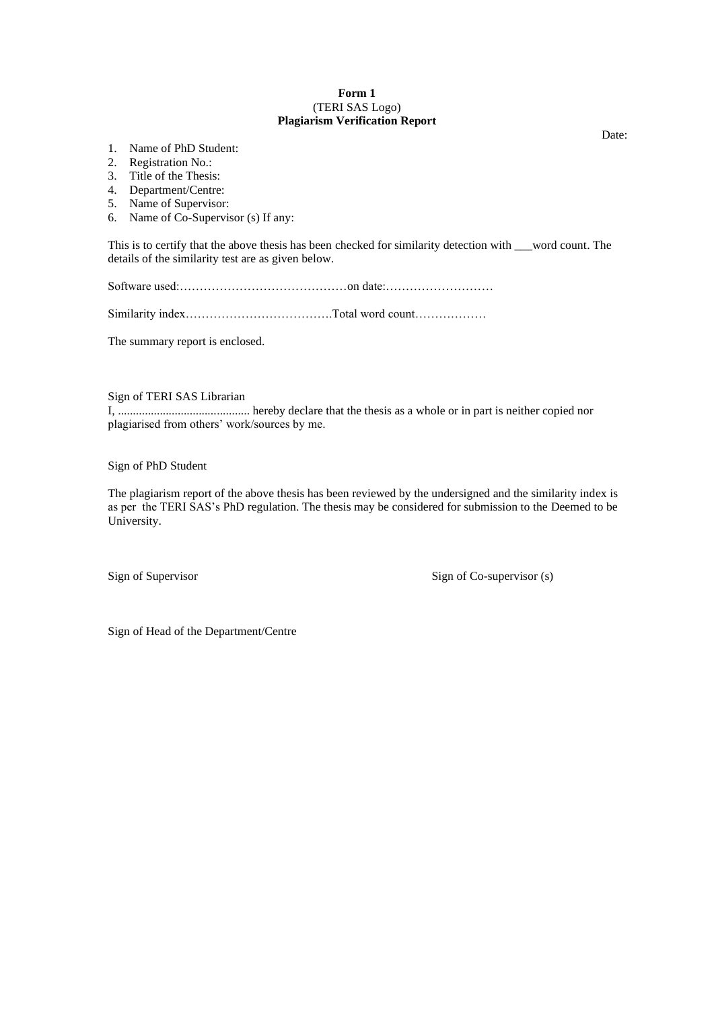## **Form 1** (TERI SAS Logo) **Plagiarism Verification Report**

- 1. Name of PhD Student:
- 2. Registration No.:
- 3. Title of the Thesis:
- 4. Department/Centre:
- 5. Name of Supervisor:
- 6. Name of Co-Supervisor (s) If any:

This is to certify that the above thesis has been checked for similarity detection with word count. The details of the similarity test are as given below.

Software used:……………………………………on date:………………………

Similarity index……………………………….Total word count………………

The summary report is enclosed.

Sign of TERI SAS Librarian

I, ............................................ hereby declare that the thesis as a whole or in part is neither copied nor plagiarised from others' work/sources by me.

Sign of PhD Student

The plagiarism report of the above thesis has been reviewed by the undersigned and the similarity index is as per the TERI SAS's PhD regulation. The thesis may be considered for submission to the Deemed to be University.

Sign of Supervisor Sign of Co-supervisor (s)

Sign of Head of the Department/Centre

Date: